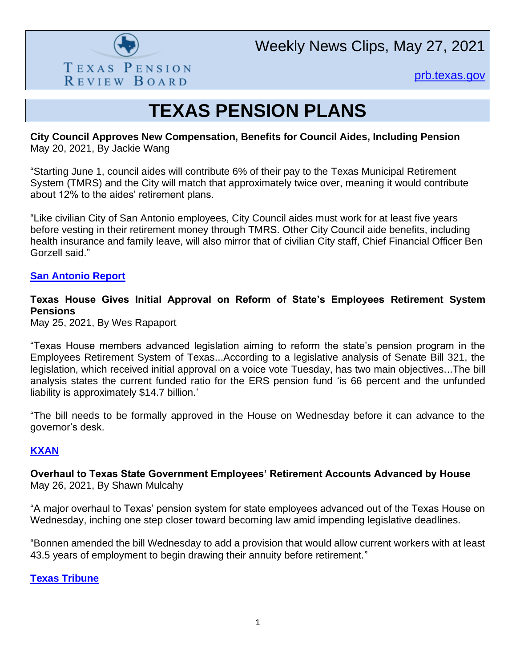

Weekly News Clips, May 27, 2021

[prb.texas.gov](http://www.prb.texas.gov/)

# **TEXAS PENSION PLANS**

#### **City Council Approves New Compensation, Benefits for Council Aides, Including Pension** May 20, 2021, By Jackie Wang

"Starting June 1, council aides will contribute 6% of their pay to the Texas Municipal Retirement System (TMRS) and the City will match that approximately twice over, meaning it would contribute about 12% to the aides' retirement plans.

"Like civilian City of San Antonio employees, City Council aides must work for at least five years before vesting in their retirement money through TMRS. Other City Council aide benefits, including health insurance and family leave, will also mirror that of civilian City staff, Chief Financial Officer Ben Gorzell said."

#### **[San Antonio Report](https://sanantonioreport.org/san-antonio-city-council-aides-compensation/)**

#### **Texas House Gives Initial Approval on Reform of State's Employees Retirement System Pensions**

May 25, 2021, By Wes Rapaport

"Texas House members advanced legislation aiming to reform the state's pension program in the Employees Retirement System of Texas...According to a legislative analysis of Senate Bill 321, the legislation, which received initial approval on a voice vote Tuesday, has two main objectives...The bill analysis states the current funded ratio for the ERS pension fund 'is 66 percent and the unfunded liability is approximately \$14.7 billion.'

"The bill needs to be formally approved in the House on Wednesday before it can advance to the governor's desk.

#### **[KXAN](https://www.kxan.com/news/texas-politics/texas-house-gives-initial-approval-on-reform-of-states-employee-retirement-system-pensions/)**

**Overhaul to Texas State Government Employees' Retirement Accounts Advanced by House** May 26, 2021, By Shawn Mulcahy

"A major overhaul to Texas' pension system for state employees advanced out of the Texas House on Wednesday, inching one step closer toward becoming law amid impending legislative deadlines.

"Bonnen amended the bill Wednesday to add a provision that would allow current workers with at least 43.5 years of employment to begin drawing their annuity before retirement."

**[Texas Tribune](https://www.texastribune.org/2021/05/26/texas-government-employee-retirement-system/)**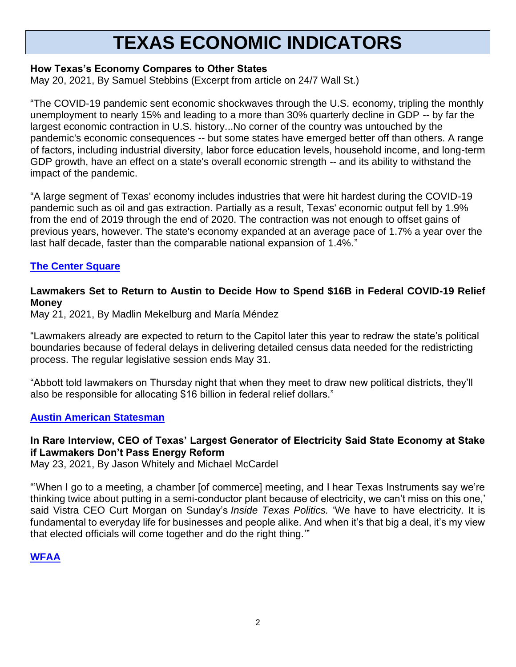# **TEXAS ECONOMIC INDICATORS**

# **How Texas's Economy Compares to Other States**

May 20, 2021, By Samuel Stebbins (Excerpt from article on 24/7 Wall St.)

"The COVID-19 pandemic sent economic shockwaves through the U.S. economy, tripling the monthly unemployment to nearly 15% and leading to a more than 30% quarterly decline in GDP -- by far the largest economic contraction in U.S. history...No corner of the country was untouched by the pandemic's economic consequences -- but some states have emerged better off than others. A range of factors, including industrial diversity, labor force education levels, household income, and long-term GDP growth, have an effect on a state's overall economic strength -- and its ability to withstand the impact of the pandemic.

"A large segment of Texas' economy includes industries that were hit hardest during the COVID-19 pandemic such as oil and gas extraction. Partially as a result, Texas' economic output fell by 1.9% from the end of 2019 through the end of 2020. The contraction was not enough to offset gains of previous years, however. The state's economy expanded at an average pace of 1.7% a year over the last half decade, faster than the comparable national expansion of 1.4%."

# **[The Center Square](https://www.thecentersquare.com/texas/how-texas-s-economy-compares-to-other-states/article_7e397229-8e43-5431-89bc-3238f080c616.html)**

# **Lawmakers Set to Return to Austin to Decide How to Spend \$16B in Federal COVID-19 Relief Money**

May 21, 2021, By Madlin Mekelburg and María Méndez

"Lawmakers already are expected to return to the Capitol later this year to redraw the state's political boundaries because of federal delays in delivering detailed census data needed for the redistricting process. The regular legislative session ends May 31.

"Abbott told lawmakers on Thursday night that when they meet to draw new political districts, they'll also be responsible for allocating \$16 billion in federal relief dollars."

#### **[Austin American Statesman](https://webcache.googleusercontent.com/search?q=cache:QBMOvzzSV4AJ:https://www.statesman.com/story/news/politics/state/2021/05/21/abbott-texas-coronavirus-federal-relief-spending-special-session/5204491001/+&cd=1&hl=en&ct=clnk&gl=us)**

# **In Rare Interview, CEO of Texas' Largest Generator of Electricity Said State Economy at Stake if Lawmakers Don't Pass Energy Reform**

May 23, 2021, By Jason Whitely and Michael McCardel

"'When I go to a meeting, a chamber [of commerce] meeting, and I hear Texas Instruments say we're thinking twice about putting in a semi-conductor plant because of electricity, we can't miss on this one,' said Vistra CEO Curt Morgan on Sunday's *Inside Texas Politics.* 'We have to have electricity. It is fundamental to everyday life for businesses and people alike. And when it's that big a deal, it's my view that elected officials will come together and do the right thing.'"

#### **[WFAA](https://www.wfaa.com/article/news/politics/inside-politics/texas-politics/in-rare-interview-ceo-of-texas-largest-generator-of-electricity-said-state-economy-at-stake-if-lawmakers-dont-pass-energy-reform/287-812b2316-79a3-436f-af85-855fe61a56c0)**